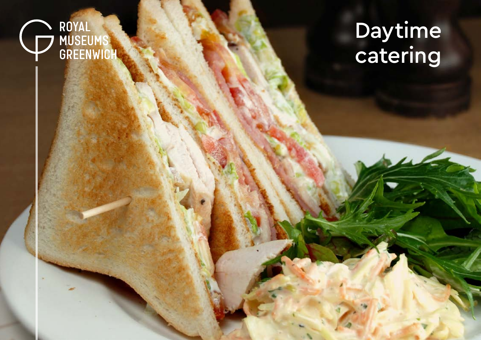

# Daytime catering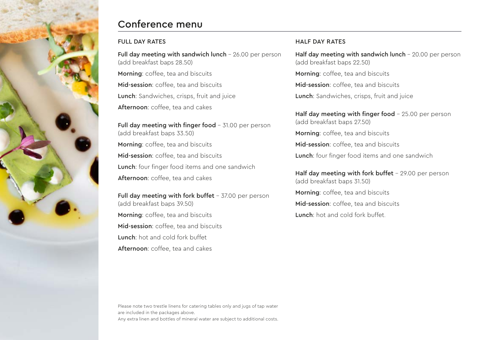

# Conference menu

### FULL DAY RATES

Full day meeting with sandwich lunch - 26.00 per person (add breakfast baps 28.50) Morning: coffee, tea and biscuits Mid-session: coffee, tea and biscuits Lunch: Sandwiches, crisps, fruit and juice Afternoon: coffee, tea and cakes

Full day meeting with finger food - 31.00 per person (add breakfast baps 33.50) Morning: coffee, tea and biscuits Mid-session: coffee, tea and biscuits Lunch: four finger food items and one sandwich Afternoon: coffee, tea and cakes

Full day meeting with fork buffet - 37.00 per person (add breakfast baps 39.50) Morning: coffee, tea and biscuits Mid-session: coffee, tea and biscuits Lunch: hot and cold fork buffet Afternoon: coffee, tea and cakes

## HALF DAY RATES

Half day meeting with sandwich lunch - 20.00 per person (add breakfast baps 22.50)

Morning: coffee, tea and biscuits

Mid-session: coffee, tea and biscuits

Lunch: Sandwiches, crisps, fruit and juice

Half day meeting with finger food  $-25.00$  per person (add breakfast baps 27.50)

Morning: coffee, tea and biscuits

Mid-session: coffee, tea and biscuits

Lunch: four finger food items and one sandwich

Half day meeting with fork buffet  $-29.00$  per person (add breakfast baps 31.50)

Morning: coffee, tea and biscuits

Mid-session: coffee, tea and biscuits

Lunch: hot and cold fork buffet.

Please note two trestle linens for catering tables only and jugs of tap water are included in the packages above. Any extra linen and bottles of mineral water are subject to additional costs.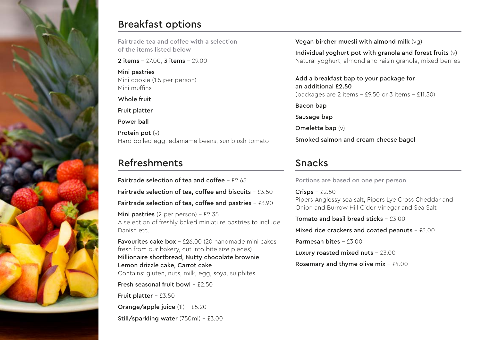

# Breakfast options

Fairtrade tea and coffee with a selection of the items listed below

2 items – £7.00, 3 items – £9.00

Mini pastries Mini cookie (1.5 per person) Mini muffins

Whole fruit

Fruit platter

Power ball

Protein pot  $(v)$ Hard boiled egg, edamame beans, sun blush tomato

# Refreshments

Fairtrade selection of tea and coffee  $-$  £2.65 Fairtrade selection of tea, coffee and biscuits - £3.50 Fairtrade selection of tea, coffee and pastries - £3.90

Mini pastries  $(2 \text{ per person}) - £2.35$ A selection of freshly baked miniature pastries to include Danish etc.

Favourites cake box - £26.00 (20 handmade mini cakes fresh from our bakery, cut into bite size pieces) Millionaire shortbread, Nutty chocolate brownie Lemon drizzle cake, Carrot cake Contains: gluten, nuts, milk, egg, soya, sulphites

Fresh seasonal fruit bowl -  $£2.50$ 

Fruit platter  $-$  £3.50 Orange/apple juice (1|) - £5.20 Still/sparkling water (750ml) - £3.00 Vegan bircher muesli with almond milk (vg)

Individual yoghurt pot with granola and forest fruits  $(v)$ Natural yoghurt, almond and raisin granola, mixed berries

Add a breakfast bap to your package for an additional £2.50 (packages are 2 items - £9.50 or 3 items - £11.50)

Bacon bap

Sausage bap

Omelette bap (v)

Smoked salmon and cream cheese bagel

# Snacks

Portions are based on one per person

 $Crisps - £2.50$ Pipers Anglessy sea salt, Pipers Lye Cross Cheddar and Onion and Burrow Hill Cider Vinegar and Sea Salt

Tomato and basil bread sticks  $-53.00$ 

Mixed rice crackers and coated peanuts - £3.00

Parmesan bites - £3.00

Luxury roasted mixed nuts - £3.00

Rosemary and thyme olive mix  $-64.00$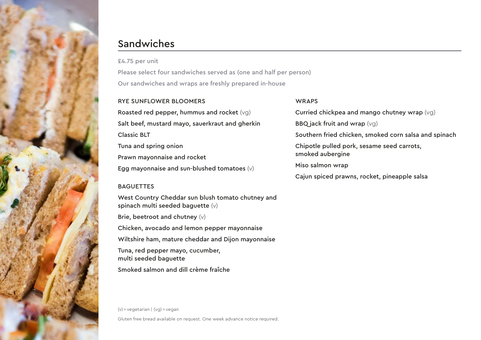

# Sandwiches

£4.75 per unit

Please select four sandwiches served as (one and half per person) Our sandwiches and wraps are freshly prepared in-house

#### RYE SUNFLOWER BLOOMERS

Roasted red pepper, hummus and rocket (vg) Salt beef, mustard mayo, sauerkraut and gherkin Classic BLT Tuna and spring onion Prawn mayonnaise and rocket Egg mayonnaise and sun-blushed tomatoes (v)

## **BAGUETTES**

West Country Cheddar sun blush tomato chutney and spinach multi seeded baguette (v) Brie, beetroot and chutney (v) Chicken, avocado and lemon pepper mayonnaise Wiltshire ham, mature cheddar and Dijon mayonnaise Tuna, red pepper mayo, cucumber, multi seeded baguette Smoked salmon and dill crème fraîche

(v) = vegetarian | (vg) = vegan Gluten free bread available on request. One week advance notice required.

### WRAPS

Curried chickpea and mango chutney wrap (vg) BBQ jack fruit and wrap  $(vq)$ Southern fried chicken, smoked corn salsa and spinach Chipotle pulled pork, sesame seed carrots, smoked aubergine Miso salmon wrap Cajun spiced prawns, rocket, pineapple salsa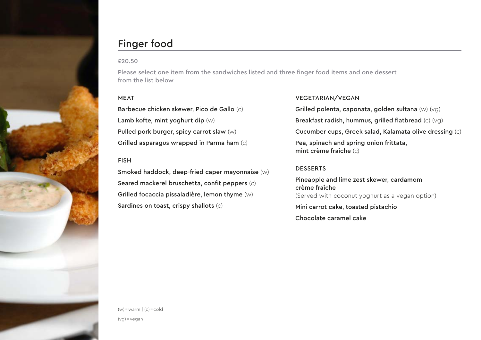

# Finger food

#### £20.50

Please select one item from the sandwiches listed and three finger food items and one dessert from the list below

### MEAT

Barbecue chicken skewer, Pico de Gallo (c) Lamb kofte, mint yoghurt dip (w) Pulled pork burger, spicy carrot slaw (w) Grilled asparagus wrapped in Parma ham (c)

#### FISH

Smoked haddock, deep-fried caper mayonnaise (w) Seared mackerel bruschetta, confit peppers (c) Grilled focaccia pissaladière, lemon thyme (w) Sardines on toast, crispy shallots (c)

#### VEGETARIAN/VEGAN

Grilled polenta, caponata, golden sultana (w) (vg) Breakfast radish, hummus, grilled flatbread (c) (vg) Cucumber cups, Greek salad, Kalamata olive dressing (c) Pea, spinach and spring onion frittata, mint crème fraîche (c)

#### **DESSERTS**

Pineapple and lime zest skewer, cardamom crème fraîche (Served with coconut yoghurt as a vegan option) Mini carrot cake, toasted pistachio Chocolate caramel cake

 $(w) =$ warm  $| (c) =$ cold (vg) = vegan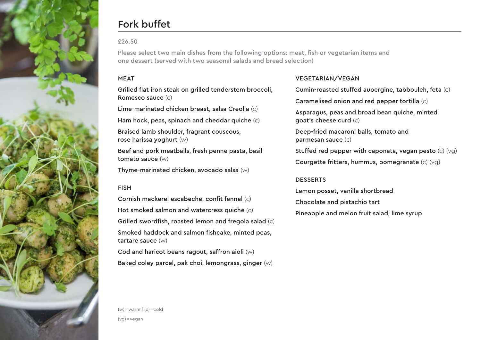

# Fork buffet

### £26.50

Please select two main dishes from the following options: meat, fish or vegetarian items and one dessert (served with two seasonal salads and bread selection)

### MEAT

Grilled flat iron steak on grilled tenderstem broccoli, Romesco sauce (c)

Lime-marinated chicken breast, salsa Creolla (c)

Ham hock, peas, spinach and cheddar quiche (c)

Braised lamb shoulder, fragrant couscous, rose harissa yoghurt (w)

Beef and pork meatballs, fresh penne pasta, basil tomato sauce (w)

Thyme-marinated chicken, avocado salsa (w)

### FISH

Cornish mackerel escabeche, confit fennel (c) Hot smoked salmon and watercress quiche (c) Grilled swordfish, roasted lemon and fregola salad (c) Smoked haddock and salmon fishcake, minted peas, tartare sauce (w) Cod and haricot beans ragout, saffron aioli (w)

Baked coley parcel, pak choi, lemongrass, ginger (w)

## VEGETARIAN/VEGAN

Cumin-roasted stuffed aubergine, tabbouleh, feta (c)

Caramelised onion and red pepper tortilla (c)

Asparagus, peas and broad bean quiche, minted goat's cheese curd (c)

Deep-fried macaroni balls, tomato and parmesan sauce (c)

Stuffed red pepper with caponata, vegan pesto (c) (vg)

Courgette fritters, hummus, pomegranate (c) (vg)

#### DESSERTS

Lemon posset, vanilla shortbread Chocolate and pistachio tart Pineapple and melon fruit salad, lime syrup

(vg) = vegan

 $(w) =$ warm  $| (c) =$ cold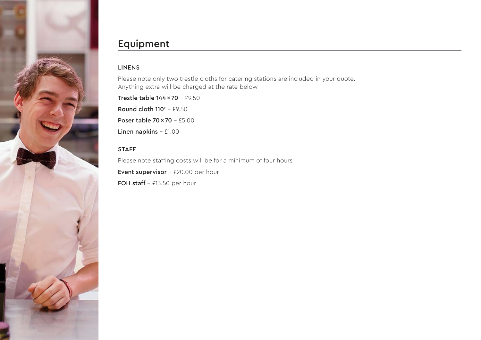

# Equipment

## LINENS

Please note only two trestle cloths for catering stations are included in your quote. Anything extra will be charged at the rate below

Trestle table 144 × 70 - £9.50 Round cloth  $110'$  - £9.50 Poser table 70 × 70 - £5.00 Linen napkins - £1.00

# STAFF

Please note staffing costs will be for a minimum of four hours Event supervisor - £20.00 per hour FOH staff  $-$  £13.50 per hour